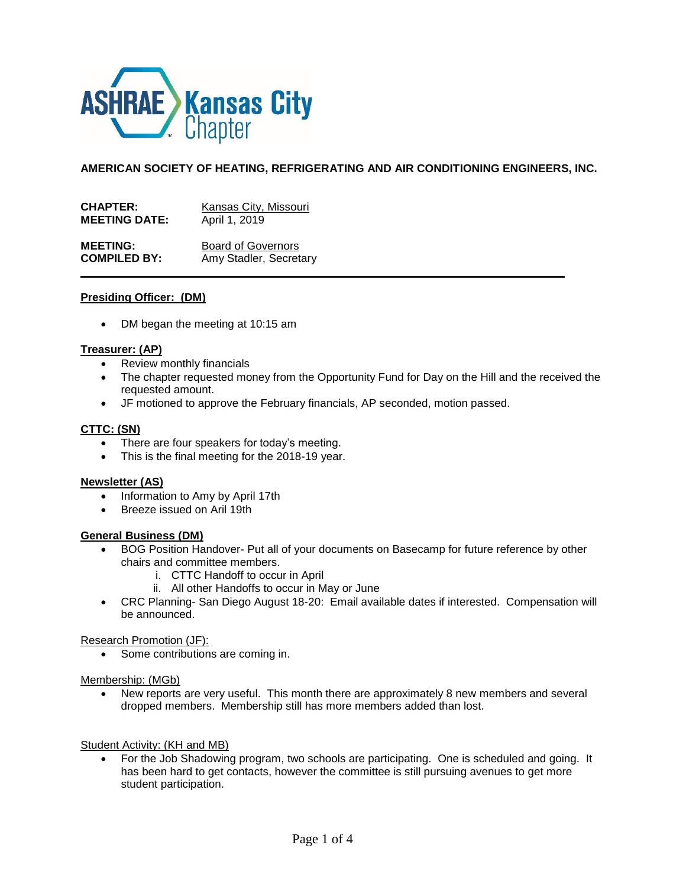

**AMERICAN SOCIETY OF HEATING, REFRIGERATING AND AIR CONDITIONING ENGINEERS, INC.**

| <b>CHAPTER:</b>      | Kansas City, Missouri     |
|----------------------|---------------------------|
| <b>MEETING DATE:</b> | April 1, 2019             |
| <b>MEETING:</b>      | <b>Board of Governors</b> |
| <b>COMPILED BY:</b>  | Amy Stadler, Secretary    |

## **Presiding Officer: (DM)**

• DM began the meeting at 10:15 am

#### **Treasurer: (AP)**

- Review monthly financials
- The chapter requested money from the Opportunity Fund for Day on the Hill and the received the requested amount.
- JF motioned to approve the February financials, AP seconded, motion passed.

#### **CTTC: (SN)**

- There are four speakers for today's meeting.
- This is the final meeting for the 2018-19 year.

#### **Newsletter (AS)**

- Information to Amy by April 17th
- Breeze issued on Aril 19th

## **General Business (DM)**

- BOG Position Handover- Put all of your documents on Basecamp for future reference by other chairs and committee members.
	- i. CTTC Handoff to occur in April
	- ii. All other Handoffs to occur in May or June
- CRC Planning- San Diego August 18-20: Email available dates if interested. Compensation will be announced.

## Research Promotion (JF):

• Some contributions are coming in.

#### Membership: (MGb)

• New reports are very useful. This month there are approximately 8 new members and several dropped members. Membership still has more members added than lost.

#### Student Activity: (KH and MB)

 For the Job Shadowing program, two schools are participating. One is scheduled and going. It has been hard to get contacts, however the committee is still pursuing avenues to get more student participation.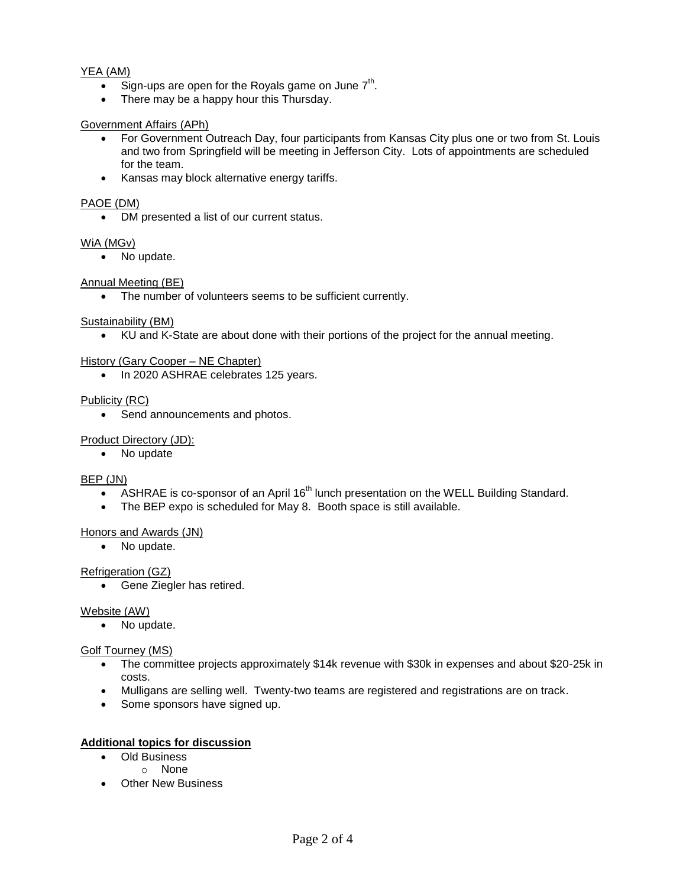# YEA (AM)

- Sign-ups are open for the Royals game on June  $7<sup>th</sup>$ .
- There may be a happy hour this Thursday.

## Government Affairs (APh)

- For Government Outreach Day, four participants from Kansas City plus one or two from St. Louis and two from Springfield will be meeting in Jefferson City. Lots of appointments are scheduled for the team.
- Kansas may block alternative energy tariffs.

## PAOE (DM)

DM presented a list of our current status.

# WiA (MGv)

• No update.

# Annual Meeting (BE)

The number of volunteers seems to be sufficient currently.

# Sustainability (BM)

KU and K-State are about done with their portions of the project for the annual meeting.

# History (Gary Cooper – NE Chapter)

• In 2020 ASHRAE celebrates 125 years.

# Publicity (RC)

• Send announcements and photos.

# Product Directory (JD):

• No update

## BEP (JN)

- ASHRAE is co-sponsor of an April 16<sup>th</sup> lunch presentation on the WELL Building Standard.
- The BEP expo is scheduled for May 8. Booth space is still available.

## Honors and Awards (JN)

• No update.

# Refrigeration (GZ)

• Gene Ziegler has retired.

## Website (AW)

• No update.

## Golf Tourney (MS)

- The committee projects approximately \$14k revenue with \$30k in expenses and about \$20-25k in costs.
- Mulligans are selling well. Twenty-two teams are registered and registrations are on track.
- Some sponsors have signed up.

# **Additional topics for discussion**

- Old Business
	- o None
- Other New Business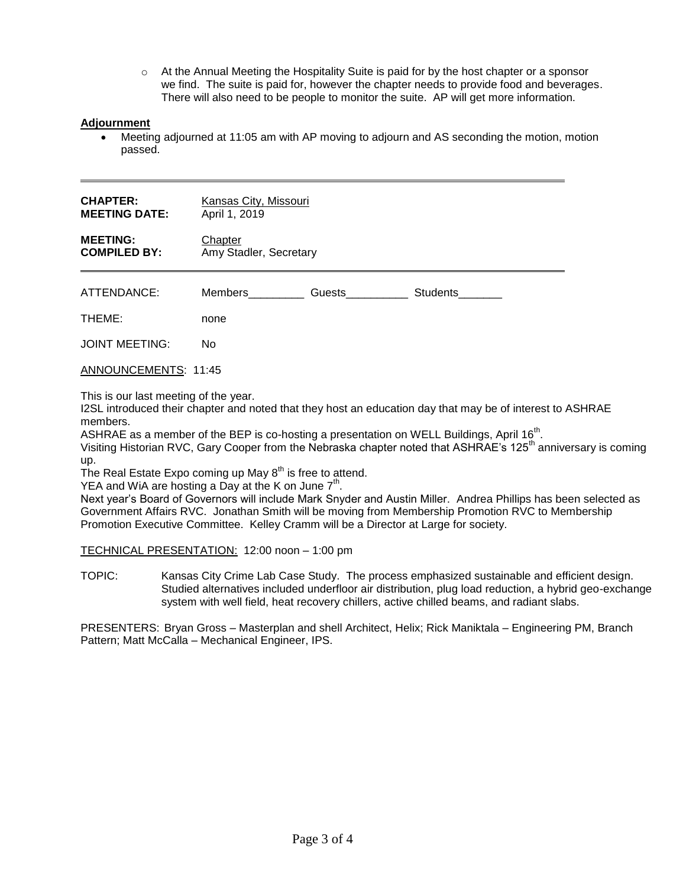$\circ$  At the Annual Meeting the Hospitality Suite is paid for by the host chapter or a sponsor we find. The suite is paid for, however the chapter needs to provide food and beverages. There will also need to be people to monitor the suite. AP will get more information.

# **Adjournment**

 Meeting adjourned at 11:05 am with AP moving to adjourn and AS seconding the motion, motion passed.

| <b>CHAPTER:</b><br><b>MEETING DATE:</b> | Kansas City, Missouri<br>April 1, 2019 |        |          |  |
|-----------------------------------------|----------------------------------------|--------|----------|--|
| <b>MEETING:</b><br><b>COMPILED BY:</b>  | Chapter<br>Amy Stadler, Secretary      |        |          |  |
| ATTENDANCE:                             | Members                                | Guests | Students |  |
| THEME:                                  | none                                   |        |          |  |
| <b>JOINT MEETING:</b>                   | No.                                    |        |          |  |
| <b>ANNOUNCEMENTS: 11:45</b>             |                                        |        |          |  |

This is our last meeting of the year.

I2SL introduced their chapter and noted that they host an education day that may be of interest to ASHRAE members.

ASHRAE as a member of the BEP is co-hosting a presentation on WELL Buildings, April 16<sup>th</sup>.

Visiting Historian RVC, Gary Cooper from the Nebraska chapter noted that ASHRAE's 125<sup>th</sup> anniversary is coming up.

The Real Estate Expo coming up May  $8<sup>th</sup>$  is free to attend.

YEA and WiA are hosting a Day at the K on June  $7<sup>th</sup>$ .

Next year's Board of Governors will include Mark Snyder and Austin Miller. Andrea Phillips has been selected as Government Affairs RVC. Jonathan Smith will be moving from Membership Promotion RVC to Membership Promotion Executive Committee. Kelley Cramm will be a Director at Large for society.

TECHNICAL PRESENTATION: 12:00 noon – 1:00 pm

TOPIC: Kansas City Crime Lab Case Study. The process emphasized sustainable and efficient design. Studied alternatives included underfloor air distribution, plug load reduction, a hybrid geo-exchange system with well field, heat recovery chillers, active chilled beams, and radiant slabs.

PRESENTERS: Bryan Gross – Masterplan and shell Architect, Helix; Rick Maniktala – Engineering PM, Branch Pattern; Matt McCalla – Mechanical Engineer, IPS.